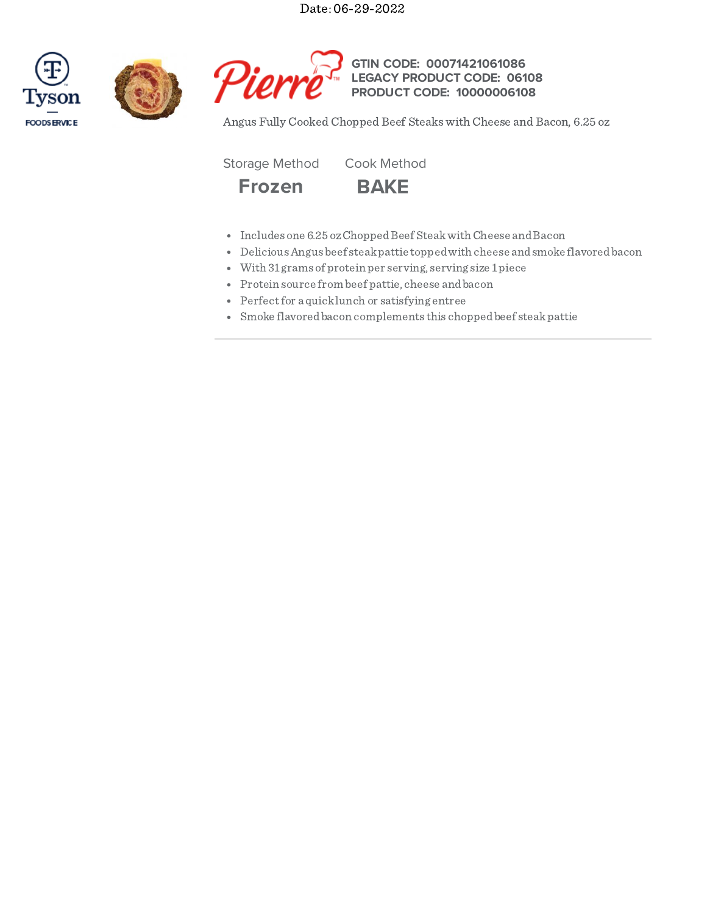Date: 06-29-2022







**GTIN CODE: LEGACY PRODUCT CODE: PRODUCT CODE: 10000006108 00071421061086 06108**

Angus Fully Cooked Chopped Beef Steaks with Cheese and Bacon, 6.25 oz

Storage Method Cook Method



- Includes one 6.25 oz Chopped Beef Steak with Cheese and Bacon
- DeliciousAngus beef steakpattie toppedwith cheese andsmoke flavoredbacon
- With 31 grams of protein per serving, serving size 1piece
- Protein source from beef pattie, cheese andbacon
- Perfect for a quick lunch or satisfying entree
- Smoke flavoredbacon complements this choppedbeef steakpattie